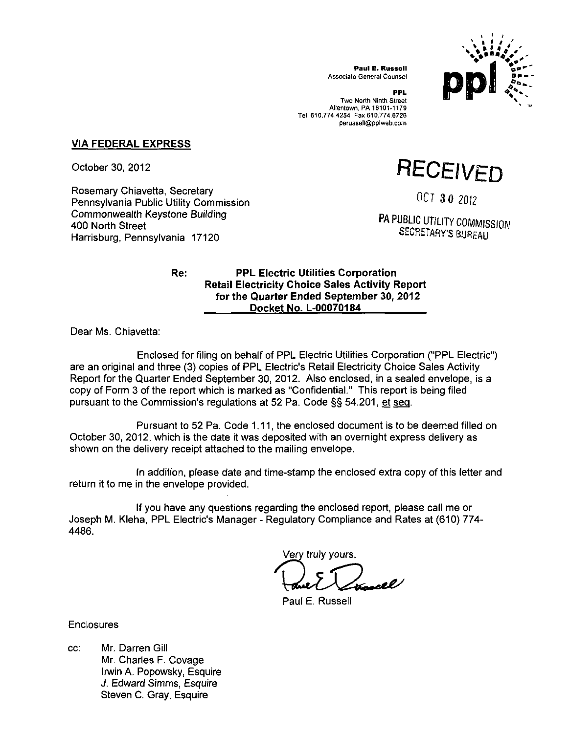

**Paul E. Russell**  Associate General Counsel

**PPL**  Two North Ninth Street Allentown, PA 18101-1179 Tel. 610.774.4254 Fax 610.774.6726 perussell@pplweb.com

## **VIA FEDERAL EXPRESS**

October 30, 2012

Rosemary Chiavetta, Secretary Pennsylvania Public Utility Commission Commonwealth Keystone Building 400 North Street Harrisburg, Pennsylvania 17120

**RECEIVED** 

OCT 3 0 2012

PA PUBLIC UTILITY COMMISSION SECRETARY'S BUREAU

## **Re: PPL Electric Utilities Corporation Retail Electricity Choice Sales Activity Report for the Quarter Ended September 30, 2012 Docket No. L-00070184**

Dear Ms. Chiavetta:

Enclosed for filing on behalf of PPL Electric Utilities Corporation ("PPL Electric") are an original and three (3) copies of PPL Electric's Retail Electricity Choice Sales Activity Report forthe Quarter Ended September 30, 2012. Also enclosed, in a sealed envelope, is a copy of Form 3 of the report which is marked as "Confidential." This report is being filed pursuant to the Commission's regulations at 52 Pa. Code §§ 54.201, et sea.

Pursuant to 52 Pa. Code 1.11, the enclosed document is to be deemed filled on October 30, 2012, which is the date it was deposited with an overnight express delivery as shown on the delivery receipt attached to the mailing envelope.

In addition, please date and time-stamp the enclosed extra copy of this letter and return it to me in the envelope provided.

If you have any questions regarding the enclosed report, please call me or Joseph M. Kleha, PPL Electric's Manager - Regulatory Compliance and Rates at (610) 774- 4486.

Very truly yours,

Paul E. Russell

**Enclosures** 

cc: Mr. Darren Gill Mr. Charles F. Covage Irwin A. Popowsky, Esquire J. Edward Simms, Esquire Steven C. Gray, Esquire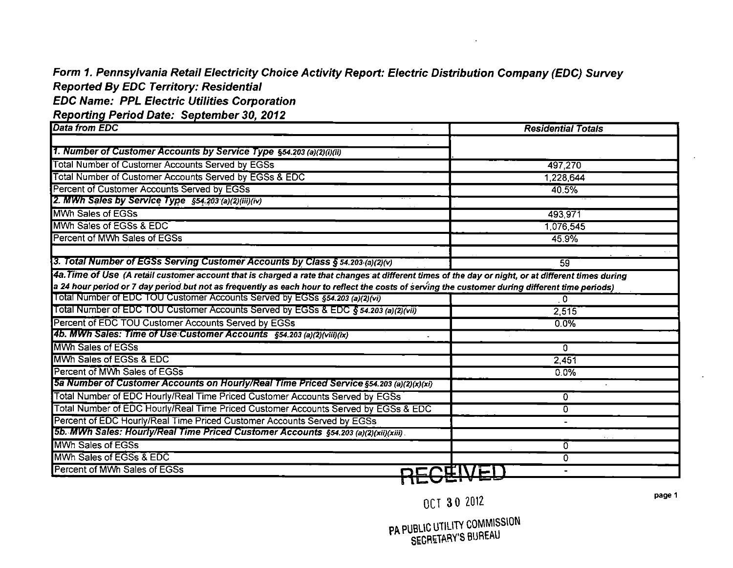# **Form 1. Pennsylvania Retail Electricity Choice Activity Report: Electric Distribution Company (EDC) Survey Reported By EDC Territory: Residential**

**EDC Name: PPL Electric Utilities Corporation** 

Reporting Period Date: September 30, 2012

| <b>I</b> Data from EDC                                                                                                                              | <b>Residential Totals</b> |  |
|-----------------------------------------------------------------------------------------------------------------------------------------------------|---------------------------|--|
|                                                                                                                                                     |                           |  |
| 1. Number of Customer Accounts by Service Type §54.203 (a)(2)(i)(ii)                                                                                |                           |  |
| Total Number of Customer Accounts Served by EGSs                                                                                                    | 497,270                   |  |
| Total Number of Customer Accounts Served by EGSs & EDC                                                                                              | 1,228,644                 |  |
| Percent of Customer Accounts Served by EGSs                                                                                                         | 40.5%                     |  |
| 2. MWh Sales by Service Type §54.203 (a)(2)(iii)(iv)                                                                                                |                           |  |
| <b>MWh Sales of EGSs</b>                                                                                                                            | 493.971                   |  |
| MWh Sales of EGSs & EDC                                                                                                                             | 1,076,545                 |  |
| Percent of MWh Sales of EGSs                                                                                                                        | 45.9%                     |  |
|                                                                                                                                                     |                           |  |
| 3. Total Number of EGSs Serving Customer Accounts by Class § 54.203 (a)(2)(v)                                                                       | 59                        |  |
| 4a. Time of Use (A retail customer account that is charged a rate that changes at different times of the day or night, or at different times during |                           |  |
| a 24 hour period or 7 day period but not as frequently as each hour to reflect the costs of serving the customer during different time periods)     |                           |  |
| Total Number of EDC TOU Customer Accounts Served by EGSs §54.203 (a)(2)(vi)                                                                         | 0                         |  |
| Total Number of EDC TOU Customer Accounts Served by EGSs & EDC § 54.203 (a)(2)(vii)                                                                 | 2,515                     |  |
| Percent of EDC TOU Customer Accounts Served by EGSs                                                                                                 | 0.0%                      |  |
| 4b. MWh Sales: Time of Use Customer Accounts §54.203 (a)(2)(viii)(ix)                                                                               |                           |  |
| MWh Sales of EGSs                                                                                                                                   | 0.                        |  |
| MWh Sales of EGSs & EDC                                                                                                                             | 2,451                     |  |
| Percent of MWh Sales of EGSs                                                                                                                        | 0.0%                      |  |
| 5a Number of Customer Accounts on Hourly/Real Time Priced Service §54.203 (a)(2)(x)(xi)                                                             |                           |  |
| Total Number of EDC Hourly/Real Time Priced Customer Accounts Served by EGSs                                                                        | 0.                        |  |
| Total Number of EDC Hourly/Real Time Priced Customer Accounts Served by EGSs & EDC                                                                  | 0                         |  |
| Percent of EDC Hourly/Real Time Priced Customer Accounts Served by EGSs                                                                             |                           |  |
| 5b. MWh Sales: Hourly/Real Time Priced Customer Accounts \$54.203 (a)(2)(xii)(xiii).                                                                |                           |  |
| MWh Sales of EGSs                                                                                                                                   | 0                         |  |
| MWh Sales of EGSs & EDC                                                                                                                             | 0                         |  |
| Percent of MWh Sales of EGSs<br><u>DCCCIVE</u>                                                                                                      |                           |  |

pa PUBLIC UTILITY COMMISSION SECHETHILL S BUREAU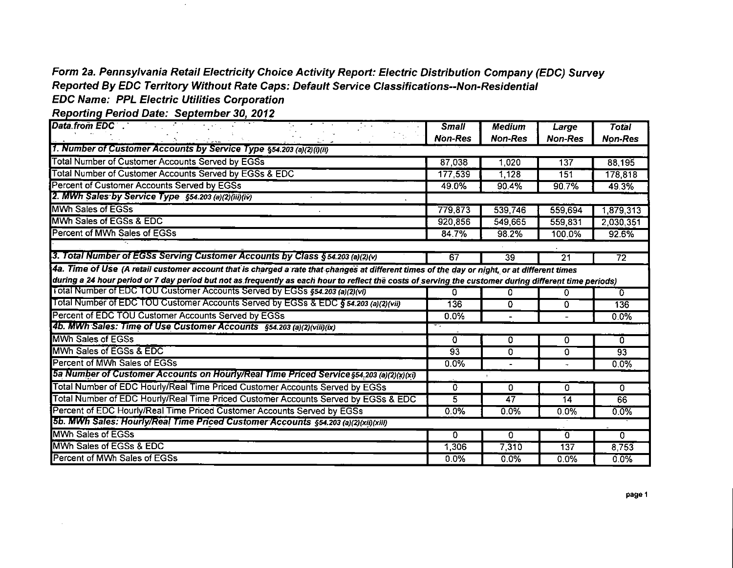# **Form 2a. Pennsylvania Retail Electricity Choice Activity Report: Electric Distribution Company (EDC) Survey Reported By EDC Territory Without Rate Caps: Default Service Classifications--Non-Residential EDC Name: PPL Electric Utilities Corporation**

Reporting Period Date: September 30, 2012

 $\sim$ 

 $\mathcal{L}$ 

| Data from EDC                                                                                                                                          | <b>Small</b>   | <b>Medium</b>  | Large            | <b>Total</b>    |
|--------------------------------------------------------------------------------------------------------------------------------------------------------|----------------|----------------|------------------|-----------------|
|                                                                                                                                                        | <b>Non-Res</b> | <b>Non-Res</b> | <b>Non-Res</b>   | <b>Non-Res</b>  |
| 1. Number of Customer Accounts by Service Type §54.203 (a)(2)(i)(ii)                                                                                   |                |                |                  |                 |
| Total Number of Customer Accounts Served by EGSs                                                                                                       | 87,038         | 1,020          | 137              | 88,195          |
| Total Number of Customer Accounts Served by EGSs & EDC                                                                                                 | 177,539        | 1,128          | 151              | 178,818         |
| Percent of Customer Accounts Served by EGSs                                                                                                            | 49.0%          | 90.4%          | 90.7%            | 49.3%           |
| 2. MWh Sales by Service Type \$54.203 (a)(2)(iii)(iv)                                                                                                  |                |                |                  |                 |
| MWh Sales of EGSs                                                                                                                                      | 779,873        | 539,746        | 559,694          | 1,879,313       |
| MWh Sales of EGSs & EDC                                                                                                                                | 920,856        | 549,665        | 559,831          | 2.030,351       |
| Percent of MWh Sales of EGSs                                                                                                                           | 84.7%          | 98.2%          | 100.0%           | 92.6%           |
|                                                                                                                                                        |                |                |                  |                 |
| 3. Total Number of EGSs Serving Customer Accounts by Class § 54.203 (a)(2)(v)                                                                          | 67             | 39             | 21               | $\overline{72}$ |
| 4a. Time of Use (A retail customer account that is charged a rate that changes at different times of the day or night, or at different times           |                |                |                  |                 |
| during a 24 hour period or 7 day period but not as frequently as each hour to reflect the costs of serving the customer during different time periods) |                |                |                  |                 |
| Total Number of EDC TOU Customer Accounts Served by EGSs §54.203 (a)(2)(vi)                                                                            | 0              | 0              | 0                | $\Omega$        |
| Total Number of EDC TOU Customer Accounts Served by EGSs & EDC § 54.203 (a)(2)(vii)                                                                    | 136            | 0              | 0                | 136             |
| Percent of EDC TOU Customer Accounts Served by EGSs                                                                                                    | 0.0%           |                |                  | 0.0%            |
| 4b. MWh Sales: Time of Use Customer Accounts §54.203 (a)(2)(viii)(ix)                                                                                  |                |                |                  |                 |
| <b>MWh Sales of EGSs</b>                                                                                                                               | $\Omega$       | 0              | 0                | $\overline{0}$  |
| MWh Sales of EGSs & EDC                                                                                                                                | 93             | 0              | O                | 93              |
| Percent of MWh Sales of EGSs                                                                                                                           | $0.0\%$        |                |                  | 0.0%            |
| 5a Number of Customer Accounts on Hourly/Real Time Priced Service §54.203 (a)(2)(x)(xi)                                                                |                |                |                  |                 |
| Total Number of EDC Hourly/Real Time Priced Customer Accounts Served by EGSs                                                                           | 0              | 0              | 0                | 0               |
| Total Number of EDC Hourly/Real Time Priced Customer Accounts Served by EGSs & EDC                                                                     | $\overline{5}$ | 47             | $\overline{14}$  | 66              |
| Percent of EDC Hourly/Real Time Priced Customer Accounts Served by EGSs                                                                                | 0.0%           | 0.0%           | 0.0%             | 0.0%            |
| 5b. MWh Sales: Hourly/Real Time Priced Customer Accounts §54.203 (a)(2)(xii)(xiii)                                                                     |                |                |                  |                 |
| <b>MWh Sales of EGSs</b>                                                                                                                               | 0              | 0              | $\Omega$         | 0               |
| MWh Sales of EGSs & EDC                                                                                                                                | 1,306          | 7310           | $\overline{137}$ | 8,753           |
| Percent of MWh Sales of EGSs                                                                                                                           | 0.0%           | 0.0%           | $0.0\%$          | 0.0%            |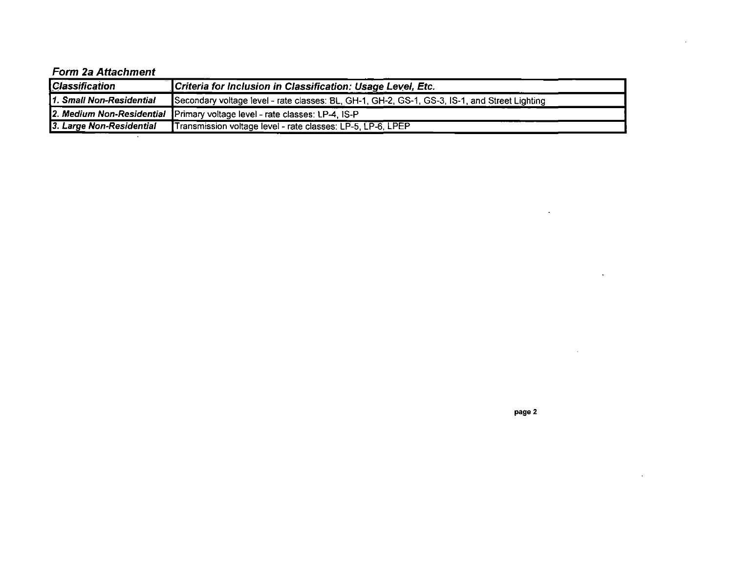## **Form 2a Attachment**

| <b>Classification</b>    | Criteria for Inclusion in Classification: Usage Level, Etc.                                   |
|--------------------------|-----------------------------------------------------------------------------------------------|
| 1. Small Non-Residential | Secondary voltage level - rate classes: BL, GH-1, GH-2, GS-1, GS-3, IS-1, and Street Lighting |
|                          | 2. Medium Non-Residential Primary voltage level - rate classes: LP-4, IS-P                    |
| 3. Large Non-Residential | Transmission voltage level - rate classes: LP-5, LP-6, LPEP                                   |

ù.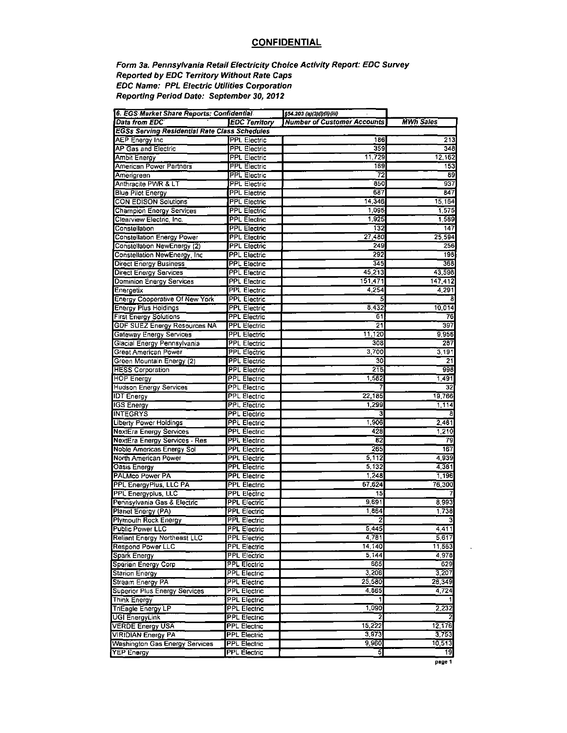## **CONFIDENTIAL**

### Form 3a. Pennsylvania Retail Electricity Choice Activity Report: EDC Survey Reported by EDC Territory Without Rate Caps EDC Name: PPL Electric Utilities Corporation Reporting Period Date: September 30, 2012

| 6. EGS Market Share Reports: Confidential            |                      | §54.203 (a)(3)(l)(li)(li)          |                  |
|------------------------------------------------------|----------------------|------------------------------------|------------------|
| Data from EDC'                                       | <b>EDC Territory</b> | <b>Number of Customer Accounts</b> | <b>MWh Sales</b> |
| <b>EGSs Serving Residential Rate Class Schedules</b> |                      |                                    |                  |
| AEP Energy Inc                                       | <b>PPL Electric</b>  | 186                                | 213              |
| <b>AP Gas and Electric</b>                           | <b>PPL Electric</b>  | 359                                | 348              |
| Ambit Energy                                         | <b>PPL Electric</b>  | 11,729                             | 12,162           |
| American Power Partners                              | <b>PPL Electric</b>  | 169                                | 153              |
| Amerigreen                                           | <b>PPL Electric</b>  | 72                                 | 89               |
| Anthracite PWR & LT                                  | <b>PPL Electric</b>  | 850                                | 937              |
| <b>Blue Pilot Energy</b>                             | <b>PPL Electric</b>  | 687                                | 847              |
| <b>CON EDISON Solutions</b>                          | <b>PPL Electric</b>  | 14 346                             | 15,164           |
| <b>Champion Energy Services</b>                      | <b>PPL Electric</b>  | 1 095                              | 1,575            |
| Clearview Electric, Inc.                             | <b>PPL Electric</b>  | 1925                               | 1,589            |
| Constellation                                        | <b>PPL Electric</b>  | 132                                | 147              |
| <b>Constellation Energy Power</b>                    | <b>PPL Electric</b>  | 27 480                             | 25,594           |
|                                                      |                      | 249                                | 256              |
| Constellation NewEnergy (2)                          | <b>PPL Electric</b>  |                                    |                  |
| Constellation NewEnergy, Inc.                        | <b>PPL Electric</b>  | 292                                | 198              |
| <b>Direct Energy Business</b>                        | <b>PPL Electric</b>  | 34 <sub>2</sub>                    | 368              |
| <b>Direct Energy Services</b>                        | <b>PPL Electric</b>  | 45,213                             | 43,598           |
| <b>Dominion Energy Services</b>                      | <b>PPL Electric</b>  | 151.471                            | 147,412          |
| Energetix                                            | <b>PPL Electric</b>  | 4,254                              | 4,291            |
| <b>Energy Cooperative Of New York</b>                | <b>PPL Electric</b>  | 5                                  |                  |
| <b>Energy Plus Holdings</b>                          | <b>PPL Electric</b>  | 8.432                              | 10,014           |
| <b>First Energy Solutions</b>                        | <b>PPL Electric</b>  | 61                                 | 76               |
| <b>GDF SUEZ Energy Resources NA</b>                  | <b>PPL Electric</b>  | 21                                 | 397              |
| Gateway Energy Services                              | PPL Electric         | 11.120                             | 9,956            |
| Glacial Energy Pennsylvania                          | PPL Electric         | 308                                | 287              |
| Great American Power                                 | <b>PPL Electric</b>  | 3 700                              | 3,191            |
| Green Mountain Energy (2)                            | <b>PPL Electric</b>  | 30                                 | 21               |
| <b>HESS Corporation</b>                              | <b>PPL Electric</b>  | 215                                | 998              |
| <b>HOP Energy</b>                                    | <b>PPL Electric</b>  | 1,582                              | 1.491            |
| <b>Hudson Energy Services</b>                        | <b>PPL Electric</b>  |                                    | $\overline{32}$  |
| <b>IDT</b> Energy                                    | <b>PPL Electric</b>  | 22,185                             | 19,766           |
| <b>IGS Energy</b>                                    | <b>PPL Electric</b>  | 1.299                              | 1,114            |
| <b>INTEGRYS</b>                                      | <b>PPL Electric</b>  | з                                  |                  |
| <b>Liberty Power Holdings</b>                        | <b>PPL Electric</b>  | 1,906                              | 2.481            |
| <b>NextEra Energy Services</b>                       | PPL Electric         | 428                                | 1,210            |
| <b>NextEra Energy Services - Res</b>                 | <b>PPL Electric</b>  | 82                                 | 79               |
| Noble Americas Energy Sol                            | <b>PPL Electric</b>  | 265                                | 167              |
| North American Power                                 | <b>PPL Electric</b>  | 5,112                              | 4.939            |
| <b>Oasis Energy</b>                                  | <b>PPL Electric</b>  | 5,132                              | 4.381            |
| PALMco Power PA                                      | <b>PPL Electric</b>  | 1.248                              | 1.196            |
| PPL EnergyPlus, LLC PA                               | <b>PPL Electric</b>  | 67,624                             | 76.300           |
| PPL Energyplus, LLC                                  | <b>PPL Electric</b>  | 15                                 |                  |
| Pennsylvania Gas & Electric                          | <b>PPL Electric</b>  | 9,691                              | 8993             |
| Planet Energy (PA)                                   | <b>PPL Electric</b>  | 1,864                              | 1.738            |
| <b>Plymouth Rock Energy</b>                          | <b>PPL Electric</b>  | 2                                  |                  |
| Public Power LLC                                     | <b>PPL Electric</b>  | 5,445                              | 4411             |
| <b>Reliant Energy Northeast LLC</b>                  | PPL Electric         | 4,781                              | 5 6 1 7          |
| <b>Respond Power LLC</b>                             | PPL Electric         | 14,140                             | 11 563           |
| <b>Spark Energy</b>                                  | <b>PPL Electric</b>  | 5,144                              | 4 978            |
| Sperian Energy Corp                                  | <b>PPL Electric</b>  | 665                                | 629              |
|                                                      |                      | 3,206                              |                  |
| <b>Starion Energy</b>                                | PPL Electric         |                                    | 3.207            |
| Stream Energy PA                                     | <b>PPL Electric</b>  | 25,580                             | 26,349           |
| Superior Plus Energy Services                        | PPL Electric         | 4,865                              | 4724             |
| Think Energy                                         | <b>PPL Electric</b>  |                                    |                  |
| <b>TriEagle Energy LP</b>                            | <b>PPL Electric</b>  | 1.090                              | 2,232            |
| <b>UGI EnergyLink</b>                                | <b>PPL Electric</b>  | 2                                  |                  |
| <b>VERDE Energy USA</b>                              | PPL Electric         | 15,222                             | 12,176           |
| VIRIDIAN Energy PA                                   | <b>PPL Electric</b>  | 3,973                              | 3,753            |
| <b>Washington Gas Energy Services</b>                | <b>PPL Electric</b>  | 9,960                              | 10.513           |
| <b>YEP Energy</b>                                    | <b>PPL Electric</b>  | 5                                  | 19               |

page 1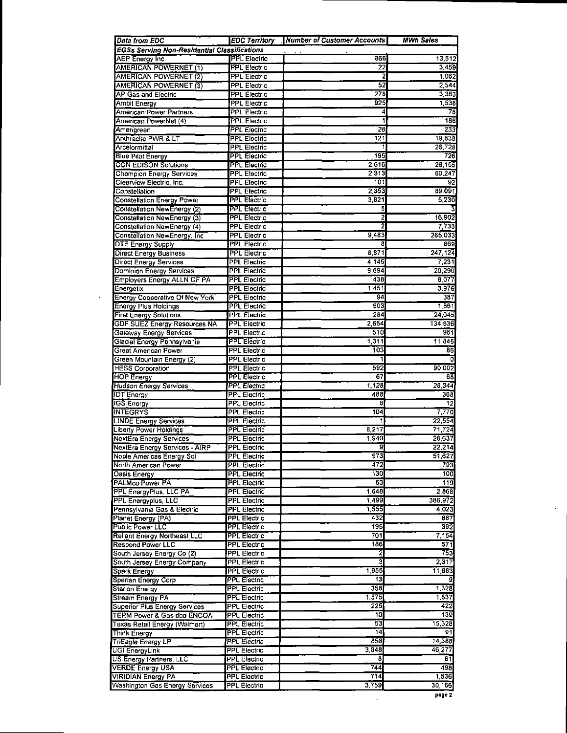| <b>Data from EDC</b>                                 | <b>EDC Territory</b>                       | <b>Number of Customer Accounts</b> | <b>MWh Sales</b> |
|------------------------------------------------------|--------------------------------------------|------------------------------------|------------------|
| <b>EGSs Serving Non-Residential Classifications</b>  |                                            |                                    |                  |
| <b>AEP</b> Energy Inc                                | <b>PPL Electric</b>                        | 866                                | 13,512           |
| AMERICAN POWERNET (1)                                | <b>PPL Electric</b>                        | $\overline{22}$                    | 3,459            |
| <b>AMERICAN POWERNET (2)</b>                         | <b>PPL Electric</b>                        | 2                                  | 1,062            |
| <b>AMERICAN POWERNET (3)</b>                         | <b>PPL Electric</b>                        | $\overline{52}$<br>278             | 2.544            |
| AP Gas and Electric<br>Ambit Energy                  | <b>PPL Electric</b><br><b>PPL Electric</b> | 925                                | 3,383<br>1,538   |
| American Power Partners                              | PPL Electric                               | 4                                  | 78               |
| American PowerNet (4)                                | <b>PPL Electric</b>                        | 1                                  | 186              |
| Amerigreen                                           | <b>PPL Electric</b>                        | 28                                 | 233              |
| <b>Anthracite PWR &amp; LT</b>                       | <b>PPL Electric</b>                        | 121                                | 19,838           |
| Arcelormittal                                        | <b>PPL Electric</b>                        | 1                                  | 26,728           |
| <b>Blue Pilot Energy</b>                             | <b>PPL Electric</b>                        | 195                                | 726              |
| <b>CON EDISON Solutions</b>                          | <b>PPL Electric</b>                        | 2.616                              | 26,155           |
| <b>Champion Energy Services</b>                      | <b>PPL Electric</b>                        | 2313                               | 60,247           |
| Clearview Electric, Inc.                             | <b>PPL Electric</b>                        | 101                                | 92               |
| Constellation<br><b>Constellation Energy Power</b>   | <b>PPL Electric</b><br><b>PPL Electric</b> | 2,353<br>3821                      | 89,091<br>5,230  |
| Constellation NewEnergy (2)                          | <b>PPL Electric</b>                        | 5                                  |                  |
| Constellation NewEnergy (3)                          | <b>PPL Electric</b>                        | $\overline{2}$                     | 16,902           |
| Constellation NewEnergy (4)                          | <b>PPL Electric</b>                        | $\overline{2}$                     | 7,733            |
| Constellation NewEnergy, Inc.                        | <b>PPL Electric</b>                        | 9483                               | 285,033          |
| DTE Energy Supply                                    | <b>PPL Electric</b>                        | 8                                  | 869              |
| <b>Direct Energy Business</b>                        | <b>PPL Electric</b>                        | 8871                               | 247,124          |
| Direct Energy Services                               | <b>PPL Electric</b>                        | 4 145                              | 7,231            |
| Dominion Energy Services                             | <b>PPL Electric</b>                        | 9.694                              | 20,290           |
| <b>Employers Energy ALLN OF PA</b>                   | <b>PPL Electric</b>                        | 438                                | 8,077            |
| Energetix                                            | <b>PPL Electric</b>                        | 1.451                              | 3,976            |
| Energy Cooperative Of New York                       | <b>PPL Electric</b>                        | 94                                 | 387              |
| <b>Energy Plus Holdings</b>                          | <b>PPL Electric</b>                        | 903                                | 1,861            |
| <b>First Energy Solutions</b>                        | <b>PPL Electric</b>                        | 284                                | 24,045           |
| <b>GDF SUEZ Energy Resources NA</b>                  | <b>PPL Electric</b>                        | 2.654                              | 134,536          |
| Gateway Energy Services                              | <b>PPL Electric</b>                        | 510                                | 981              |
| Glacial Energy Pennsylvania                          | <b>PPL Electric</b>                        | 1,311<br>103                       | 11.845           |
| Great American Power                                 | <b>PPL Electric</b><br><b>PPL Electric</b> |                                    | 86<br>0          |
| Green Mountain Energy (2)<br><b>HESS Corporation</b> | <b>PPL Electric</b>                        | 592                                | 90.002           |
| <b>HOP Energy</b>                                    | <b>PPL Electric</b>                        | 67                                 | 68               |
| <b>Hudson Energy Services</b>                        | <b>PPL Electric</b>                        | 1,128                              | 28,344           |
| <b>IDT Energy</b>                                    | <b>PPL Electric</b>                        | 488                                | 368              |
| <b>IGS Energy</b>                                    | <b>PPL Electric</b>                        | 8                                  | 12               |
| <b>INTEGRYS</b>                                      | <b>PPL Electric</b>                        | 104                                | 7.770            |
| <b>LINDE Energy Services</b>                         | <b>PPL Electric</b>                        |                                    | 22.554           |
| Liberty Power Holdings                               | <b>PPL Electric</b>                        | 8.217                              | 71.724           |
| <b>NextEra Energy Services</b>                       | <b>PPL Electric</b>                        | 1.940                              | 28,637           |
| NextEra Energy Services - AIRP                       | <b>PPL Electric</b>                        | 9                                  | 22.214           |
| Noble Americas Energy Sol                            | <b>PPL Electric</b>                        | 973                                | 51,627           |
| North American Power                                 | <b>PPL Electric</b>                        | 472                                | 793              |
| <b>Casis Energy</b>                                  | <b>PPL Electric</b>                        | 130                                | 100              |
| PALMco Power PA                                      | <b>PPL Electric</b>                        | 53                                 | 119              |
| PPL EnergyPlus, LLC PA<br><b>PPL Energyplus, LLC</b> | <b>PPL Electric</b><br><b>PPL Electric</b> | 1,648<br>1,499                     | 2,868<br>386,972 |
| Pennsylvania Gas & Electric                          | <b>PPL Electric</b>                        | 1,555                              | 4,023            |
| Planet Energy (PA)                                   | <b>PPL Electric</b>                        | 432                                | 887              |
| Public Power LLC                                     | PPL Electric                               | 195                                | 392              |
| Reliant Energy Northeast LLC                         | <b>PPL Electric</b>                        | 701                                | 7 154            |
| <b>Respond Power LLC</b>                             | PPL Electric                               | 186                                | 571              |
| South Jersey Energy Co (2)                           | PPL Electric                               | 2                                  | 753              |
| South Jersey Energy Company                          | <b>PPL Electric</b>                        | 3                                  | 2.317            |
| Spark Energy                                         | PPL Electric                               | 1,955                              | 11,883           |
| Sperian Energy Corp                                  | PPL Electric                               | 13                                 | 9                |
| <b>Starion Energy</b>                                | <b>PPL Electric</b>                        | 358                                | 1 3 2 8          |
| Stream Energy PA                                     | PPL Electric                               | 1,575                              | 1837             |
| Superior Plus Energy Services                        | <b>PPL Electric</b>                        | 225                                | 422              |
| TERM Power & Gas dba ENCOA                           | <b>PPL Electric</b>                        | 10                                 | 139              |
| Texas Retail Energy (Walmart)                        | <b>PPL Electric</b><br><b>PPL Electric</b> | 53<br>14                           | 15,328<br>91     |
| Think Energy<br>TriEagle Energy LP                   | <b>PPL Electric</b>                        | 858                                | 14,388           |
| UGI EnergyLink                                       | <b>PPL Electric</b>                        | 3,848                              | 46.277           |
| US Energy Partners, LLC                              | <b>PPL Electric</b>                        | 8                                  | 61               |
| <b>VERDE Energy USA</b>                              | <b>PPL Electric</b>                        | 744                                | 498              |
| <b>VIRIDIAN Energy PA</b>                            | PPL Electric                               | 714                                | 1,536            |
| <b>Washington Gas Energy Services</b>                | <b>PPL Electric</b>                        | 3,759                              | 30, 166          |

 $\sim 10$ 

 $\mathcal{A}^{\mathcal{A}}$ 

 $\bar{\star}$